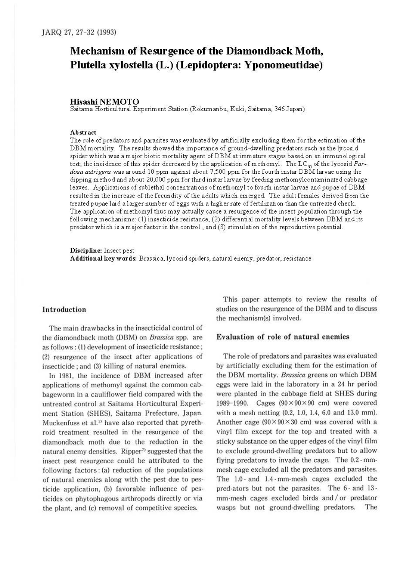# **Mechanism of Resurgence of the Diamondback Moth, Plutella xylostella (L.) (Lepidoptera: Yponomeutidae)**

# **Hisashi NEMOTO**

Saitama Horticultural Experiment Station (Rokumanbu, Kuki, Saitarna, 346 Japan)

## **Abstract**

The role of predators and parasites was evaluated by artificially excluding them for the estimation of the DBM mortality. The results showed the importance of ground-dwelling predators such as the lycosid spider which was a major biotic mortality agent of DBM at immature stages based on an immunological test; the incidence of this spider decreased by the application of methomyl. The LC<sub>30</sub> of the *lycosid Pardosa astrigera* was around 10 ppm against about 7,500 ppm for the fourth instar DBM larvae using the dipping method and about 20,000 ppm for third instar larvae by feeding methomylcontaminated cabbage leaves. Applications of sublethal concentrations of methomyl to fourth instar larvae and pupae of DBM resulted in the increase of the fecundity of the adults which emerged. The adult females derived from the treated pupae laid a larger number of eggs with a higher rate offertilization than the untreated check. The application of methomyl thus may actually cause a resurgence of the insect population through the following mechanisms: (1) insecticide resistance, (2) differential mortality levels between DBM and its predator which is a major factor in the control, and (3) stimulation of the reproductive potential.

**Discipline:** Insect pest Additional key words: Brassica, lycosid spiders, natural enemy, predator, resistance

#### Introduction

The main drawbacks in the insecticidal control of the diamondback moth (DBM) on *Bmssica* spp. are as follows : (l) development of insecticide resistance; (2) resurgence of the insect after applications of insecticide; and (3) killing of natural enemies.

In 1981, the incidence of DBM increased after applications of methomyl against the common cabbageworm in a cauliflower field compared with the untreated control at Saitama Horticultural Experiment Station (SHES), Saitama Prefecture, Japan. Muckenfuss et al.<sup>1)</sup> have also reported that pyrethroid treatment resulted in the resurgence of the diamondback moth due to the reduction in the natural enemy densities. Ripper<sup>7)</sup> suggested that the insect pest resurgence could be attributed to the following factors: (a) reduction of the populations. of natural enemies along with the pest due to pesticide application, (b) favorable influence of pes-· ticides on phytophagous arthropods directly or via the plant, and (c) removal of competitive species.

This paper attempts to review the results of studies on the resurgence of the DBM and to discuss the mechanism(s) involved.

# Evaluation of role of natural enemies

The role of predators and parasites was evaluated by artificially excluding them for the estimation of the DBM mortality. *Brassica* greens on which DBM eggs were laid in the laboratory in a 24 hr period were planted in the cabbage field at SHES during 1989-1990. Cages (90 x 90 x 90 cm) were covered with a mesh netting (0.2, 1.0, l.4, 6.0 and 13.0 mm). Another cage  $(90 \times 90 \times 30$  cm) was covered with a vinyl film except for the top and treated with a sticky substance on the upper edges of the vinyl film to exclude ground-dwelling predators but to allow flying predators to invade the cage. The 0.2 · mmmesh cage excluded all the predators and parasites. The 1.0 · and 1.4 · mm-mesh cages excluded the pred-ators but not the parasites. The 6 · and 13 · mm-mesh cages excluded birds and / or predator wasps but not ground-dwelling predators. The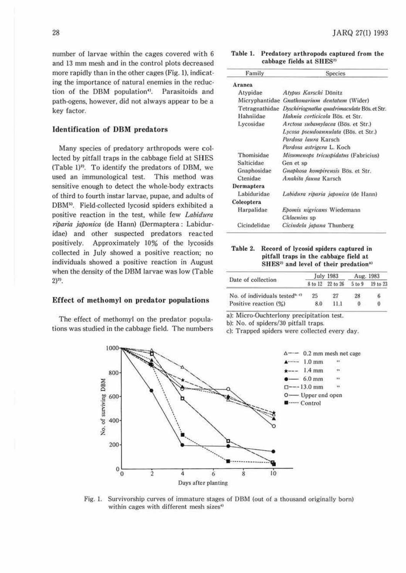number of larvae within the cages covered with 6 and 13 mm mesh and in the control plots decreased more rapidly than in the other cages (Fig. 1), indicating the importance of natural enemies in the reduction of the DBM population<sup>4)</sup>. Parasitoids and path-ogens, however, did not always appear to be a key factor.

### **Identification of DBM** predators

Many species of predatory arthropods were collected by pitfall traps in the cabbage field at SHES (Table 1)<sup>2)</sup>. To identify the predators of DBM, we used an immunological test. This method was sensitive enough to detect the whole-body extracts of third to fourth instar larvae, pupae, and adults of DBM<sup>5)</sup>. Field-collected lycosid spiders exhibited a positive reaction in the test, while few Labidura riparia japonica (de Hann) (Dermaptera: Labiduridae) and other suspected predators reacted Approximately 10% of the lycosids positively. collected in July showed a positive reaction; no individuals showed a positive reaction in August when the density of the DBM larvae was low (Table  $(2)^{2}$ .

## Effect of methomyl on predator populations

The effect of methomyl on the predator populations was studied in the cabbage field. The numbers

| Table 1. | Predatory arthropods captured from the |
|----------|----------------------------------------|
|          | cabbage fields at SHES <sup>2)</sup>   |

| Family            | <b>Species</b>                                             |  |
|-------------------|------------------------------------------------------------|--|
| Aranea            |                                                            |  |
| Atypidae          | Atypus Karschi Dönitz                                      |  |
|                   | Micryphantidae Gnathonarium dentatum (Wider)               |  |
|                   | Tetragnathidae Dyschiriognatha quadrimaculata Bös. et Str. |  |
| Hahniidae         | Hahnia corticicola Bös, et Str.                            |  |
| Lycosidae         | Arctosa subamylacea (Bös. et Str.)                         |  |
|                   | Lycosa pseudoannulata (Bös. et Str.)                       |  |
|                   | Pardosa laura Karsch                                       |  |
|                   | Pardosa astrigera L. Koch                                  |  |
| Thomisidae        | Misumenops tricuspidatus (Fabricius)                       |  |
| <b>Salticidae</b> | Gen et sp                                                  |  |
| Gnaphosidae       | Gnaphosa kompirensis Bös. et Str.                          |  |
| Ctenidae          | Anahita fauna Karsch                                       |  |
| Dermaptera        |                                                            |  |
| Labiduridae       | Labidura riparia japonica (de Hann)                        |  |
| Coleoptera        |                                                            |  |
| Harpalidae        | Epomis nigricans Wiedemann                                 |  |
|                   | Chlaenins sp                                               |  |
| Cicindelidae      | Cicindela japana Thunberg                                  |  |

## Table 2. Record of lycosid spiders captured in pitfall traps in the cabbage field at SHES<sup>2)</sup> and level of their predation<sup>a)</sup>

| Date of collection                                     | July 1983 |                  | Aug. 1983 |          |
|--------------------------------------------------------|-----------|------------------|-----------|----------|
|                                                        |           | 8 to 12 22 to 26 | 5 to 9    | 19 to 23 |
| No. of individuals tested <sup><math>b, c</math></sup> | 25        | 27               | 28        | 6        |
| Positive reaction (%)                                  | 8.0       | 11.1             |           | $\bf{0}$ |

a): Micro-Ouchterlony precipitation test.

b): No. of spiders/30 pitfall traps.

c): Trapped spiders were collected every day.



Fig. 1. Survivorship curves of immature stages of DBM (out of a thousand originally born) within cages with different mesh sizes<sup>4)</sup>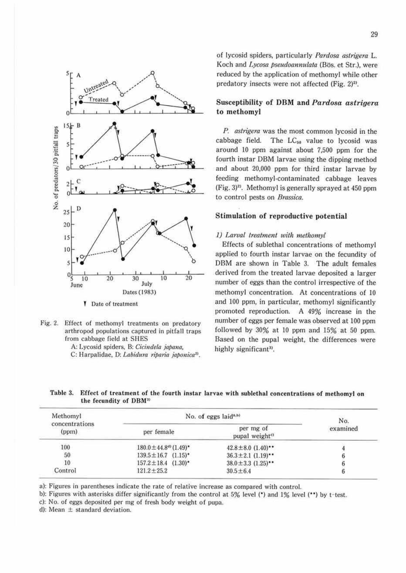

- Fig. 2. Effect of methomyl treatments on predatory arthropod populations captured in pitfall traps from cabbage field at SHES
	- A: Lycosid spiders, B: *Cicindela japana*,
	- C: Harpalidae, D: *Labidura riparia japonica<sup>21</sup>*.

of lycosid spiders, particula rly *Pardosa astrigera* L. Koch and *Lycosa pseudoannulata* (Bös. et Str.), were reduced by the application of methomyl while other predatory insects were not affected (Fig.  $2)^{2}$ ).

# Susceptibility of DBM and *Pardosa astrigera*  **to methomyl**

*P. aslrigera* was the most common lycosid in the cabbage field. The LC<sub>50</sub> value to lycosid was around 10 ppm against about 7,500 ppm for the fourth instar DBM larvae using the dipping method and about 20,000 ppm for third instar larvae by feeding methomyl-contaminated cabbage leaves (Fig. 3)". Methomyl is generally sprayed at 450 ppm to control pests on *Brassica.* 

#### **Stimulation of reproductive potential**

#### *l) Larval treatment with methomyl*

Effects of sublethal concentrations of methomyl applied to fourth instar larvae on the fecundity of DBM are shown in Table 3. The adult females derived from the treated larvae deposited a larger number of eggs than the control irrespective of the methomyl concentration. At concentrations of 10 and 100 ppm, in particular, methomyl significantly promoted reproduction. A 49% increase in the number of eggs per female was observed at 100 ppm followed by 30% at IO ppm and 15% at 50 ppm. Based on the pupal weight, the differences were highly significant<sup>3)</sup>.

Table 3. Effect of treatment of the fourth instar larvae with sublethal concentrations of methomyl on the fecundity of DBM"

| Methomyl                | No. of eggs laid <sup><math>a, b</math></sup> | No.                                     |          |
|-------------------------|-----------------------------------------------|-----------------------------------------|----------|
| concentrations<br>(ppm) | per female                                    | per mg of<br>pupal weight <sup>c)</sup> | examined |
| 100                     | $180.0 \pm 44.8^{d}$ (1.49)*                  | $42.8 \pm 8.0$ $(1.40)$ **              |          |
| 50                      | $139.5 \pm 16.7$ $(1.15)^*$                   | $36.3 \pm 2.1$ $(1.19)$                 |          |
| 10                      | $157.2 \pm 18.4$ $(1.30)$ <sup>*</sup>        | $38.0 \pm 3.3$ $(1.25)$ **              |          |
| Control                 | $121.2 + 25.2$                                | $30.5 \pm 6.4$                          |          |

a): Figures in parentheses indicate the rate of relalive increase as compared with control.

b): Figures with asterisks differ significantly from the control at 5% level (\*) and 1% level (\*\*) by t-test.

c): No. of eggs deposited per mg of fresh body weight of pupa.

d): Mean  $\pm$  standard deviation.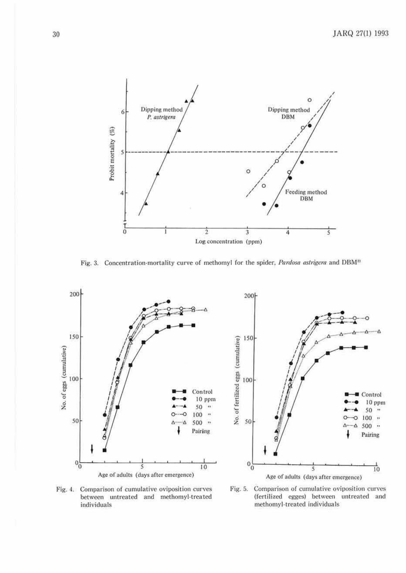

Fig. 3. Concentration-mortality curve of methomyl for the spider, Pardosa astrigera and DBM<sup>21</sup>





Fig. 4. Comparison of cumulative oviposition curves between untreated and methomyl-treated individuals

Fig. 5. Comparison of cumulative oviposition curves (fertilized egges) between untreated and methomyl-treated individuals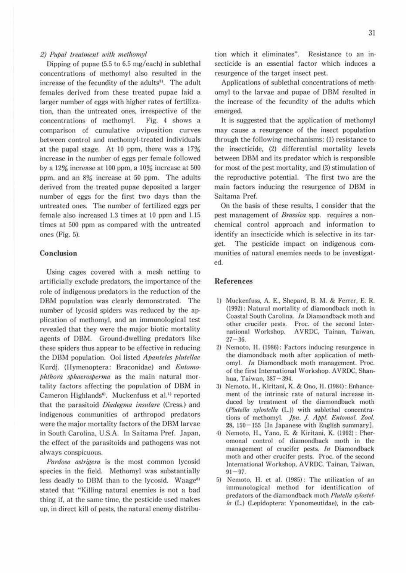#### 2) Pupal treatment with methomyl

Dipping of pupae (5.5 to 6.5 mg/each) in sublethal concentrations of melhomyl also resulted in the increase of the fecundity of the adults<sup>31</sup>. The adult females derived from these treated pupae laid a larger number of eggs with higher rates of fertilization, than the untreated ones, irrespective of the concentrations of methomyl. Fig. *4* shows a comparison of cumulative oviposition curves between control and methomyl-treated individuals at the pupal stage. At 10 ppm, there was a  $17\%$ increase in the number of eggs per female followed by a  $12\%$  increase at 100 ppm, a  $10\%$  increase at 500 ppm. and an 8% increase at 50 ppm. The adults derived from the treated pupae deposited a larger number of eggs for the first two days than the untreated ones. The number of fertilized eggs per female also increased  $1.3$  times at  $10$  ppm and  $1.15$ times at 500 ppm as compared with the untreated ones (Fig. 5).

# Conclusion

Using cages covered with a mesh netting to artificially exclude predators, the importance of the role of indigenous predators in the reduction of the DBM population was clearly demonstrated. The number of lycosid spiders was reduced by the application of methomyl, and an immunological test revealed that they were the major biotic mortality agents of DBM. Ground-dwelling predators like these spiders thus appear to be effective in reducing the DBM population. Ooi listed *Apanteles plutellae* Kurdj. (Hymenoptera: Braconidae) and Entomophthora sphaerosperma as the main natural mortality factors affecting the population of DBM in Cameron Highlands<sup>0</sup>. Muckenfuss et al.<sup>1)</sup> reported that the parasitoid *Diadegma insulare* (Cress.) and indigenous communities of arthropod predators were the major mortality factors of the DBM larvae in South Carolina, U.S.A. In Saitama Pref. Japan, the effect of the parasitoids and pathogens was not always conspicuous.

*Pardosa astrigera* is the most common lycosid species in the field. Methomyl was substantially less deadly to DBM than to the lycosid. Waage<sup>8)</sup> stated that "Killing natural enemies is not a bad thing if. at the same time, the pesticide used makes up, in direct kill of pests, the natural enemy distribu-

tion which it eliminates". Resistance to an insecticide is an essential factor which induces a resurgence of the target insect pest.

Applications of sublethal concentrations of methomyl to the larvae and pupae of DBM r'esulted in the increase of the fecundity of the adults which emerged.

It is suggested that the application or methomyl may cause a resurgence of the insect population through the following mechanisms: (I) resistance to the insecticide, (2) differential mortality levels between DBM and its predator which is responsible for most of the pest mortality, and (3) stimulation of the reproductive potential. The first two are the main factors inducing the resurgence of DBM in Saitama Pref.

On the basis of these results, I consider that the pest management of *Bmssica* spp. requires a nonchemical control approach and information to identify an insecticide which is selective in its target. The pesticide impact on indigenous communities of natural enemies needs to be investigat· ed.

## **References**

- I) Muckenfuss. A. E., Shepard, B. M. & Ferrer, E. R. (1992) : Natural mortality of diamondback moth in Coastal South Carolina. *In* Diamondback moth and other crucifer pests. Proc. of the second Inter· national Workshop. AVROC, Tainan, Taiwan,  $27 - 36.$
- 2) Nemoto, H. (1986): Factors inducing resurgence in the diamondback moth after application of meth· omyl. *In* Diamondback moth management. Proc. of the first International Workshop. AVRDC. Shanhua, Taiwan, 387-394.
- 3) Nemoto, H., Kiritani, K. & Ono, H. (1984): Enhancement of the intrinsic rate of natural increase induced by treatment of the diamondback moth (Plutella xylostella (L.)) with sublethal concentrations of methomyl. Jpn. J. Appl. Entomol. Zool. 28, l50- 155 [In Japanese with English summary].
- 4) Nemoto, H., Yano, E. & Kiritani, K. (1992): Pheromonal control or diamondback moth in the management of crucifcr pests. *In* Diamondback moth and other crucifer pests. Proc. of the second International Workshop, AVRDC. Tainan, Taiwan.  $91 - 97.$
- 5) Ncmoto, II. ct al. (1985): The utilization of an immunological method for idemification of predators of the diamondback moth *Plutella xylostel* $la$  (L.) (Lepidoptera: Yponomeutidae), in the cab-